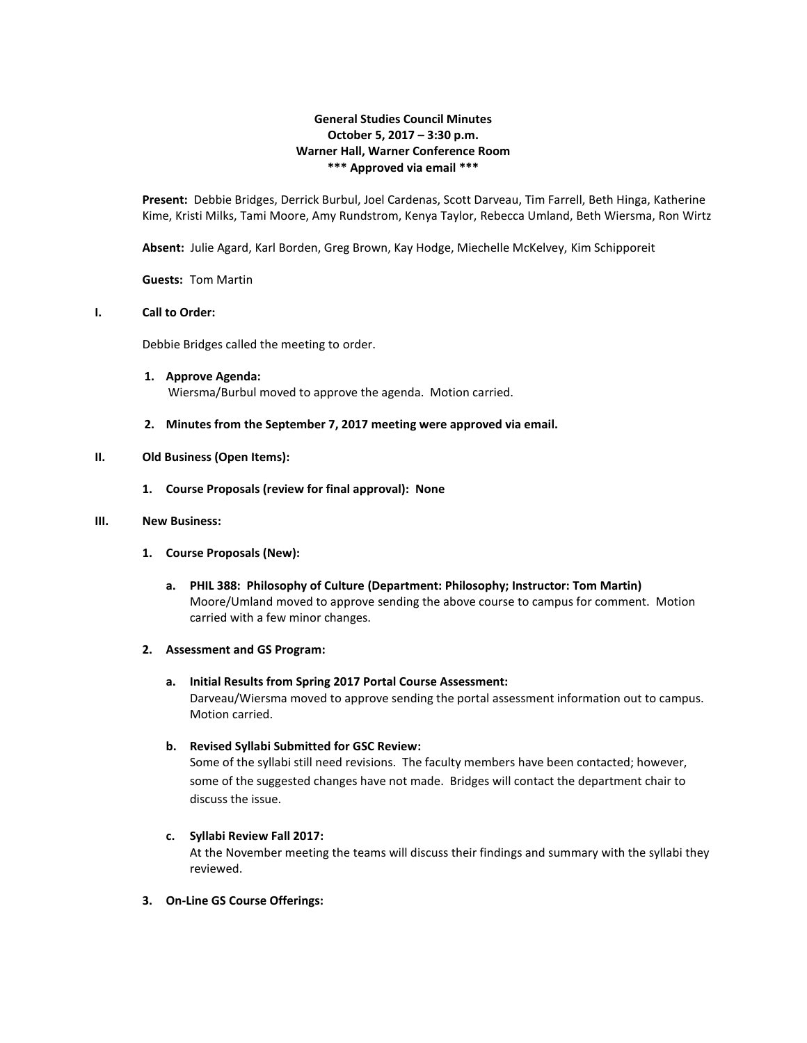# **General Studies Council Minutes October 5, 2017 – 3:30 p.m. Warner Hall, Warner Conference Room \*\*\* Approved via email \*\*\***

**Present:** Debbie Bridges, Derrick Burbul, Joel Cardenas, Scott Darveau, Tim Farrell, Beth Hinga, Katherine Kime, Kristi Milks, Tami Moore, Amy Rundstrom, Kenya Taylor, Rebecca Umland, Beth Wiersma, Ron Wirtz

**Absent:** Julie Agard, Karl Borden, Greg Brown, Kay Hodge, Miechelle McKelvey, Kim Schipporeit

**Guests:** Tom Martin

# **I. Call to Order:**

Debbie Bridges called the meeting to order.

- **1. Approve Agenda:** Wiersma/Burbul moved to approve the agenda. Motion carried.
- **2. Minutes from the September 7, 2017 meeting were approved via email.**

## **II. Old Business (Open Items):**

**1. Course Proposals (review for final approval): None**

## **III. New Business:**

- **1. Course Proposals (New):**
	- **a. PHIL 388: Philosophy of Culture (Department: Philosophy; Instructor: Tom Martin)** Moore/Umland moved to approve sending the above course to campus for comment. Motion carried with a few minor changes.

#### **2. Assessment and GS Program:**

**a. Initial Results from Spring 2017 Portal Course Assessment:** Darveau/Wiersma moved to approve sending the portal assessment information out to campus. Motion carried.

# **b. Revised Syllabi Submitted for GSC Review:**

Some of the syllabi still need revisions. The faculty members have been contacted; however, some of the suggested changes have not made. Bridges will contact the department chair to discuss the issue.

# **c. Syllabi Review Fall 2017:**

At the November meeting the teams will discuss their findings and summary with the syllabi they reviewed.

**3. On-Line GS Course Offerings:**